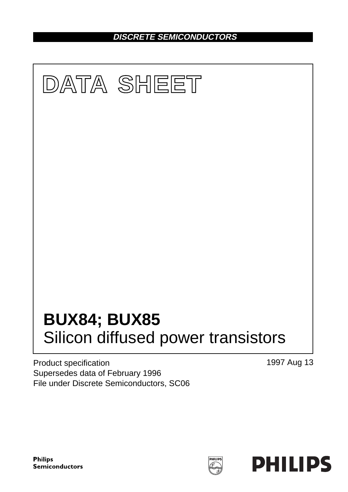**DISCRETE SEMICONDUCTORS**



Product specification Supersedes data of February 1996 File under Discrete Semiconductors, SC06 1997 Aug 13

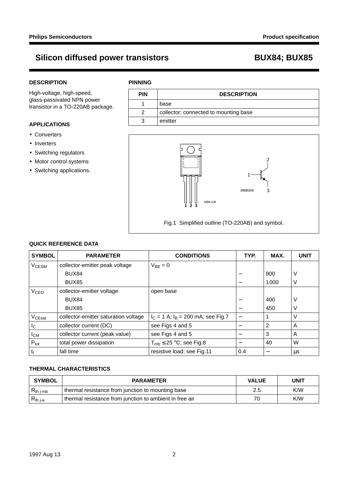### **DESCRIPTION**

High-voltage, high-speed, glass-passivated NPN power transistor in a TO-220AB package.

### **APPLICATIONS**

- Converters
- Inverters
- Switching regulators
- Motor control systems
- Switching applications.

### **PINNING**





Fig.1 Simplified outline (TO-220AB) and symbol.

### **QUICK REFERENCE DATA**

| <b>SYMBOL</b>      | <b>PARAMETER</b>                     | <b>CONDITIONS</b>                      | TYP. | MAX.           | <b>UNIT</b> |
|--------------------|--------------------------------------|----------------------------------------|------|----------------|-------------|
| V <sub>CESM</sub>  | collector-emitter peak voltage       | $V_{BF} = 0$                           |      |                |             |
|                    | BUX84                                |                                        |      | 800            | ν           |
|                    | BUX85                                |                                        |      | 1000           | ٧           |
| V <sub>CEO</sub>   | collector-emitter voltage            | open base                              |      |                |             |
|                    | BUX84                                |                                        |      | 400            | ν           |
|                    | BUX85                                |                                        |      | 450            | V           |
| V <sub>CEsat</sub> | collector-emitter saturation voltage | $I_C = 1$ A; $I_B = 200$ mA; see Fig.7 |      |                | V           |
| I <sub>C</sub>     | collector current (DC)               | see Figs 4 and 5                       |      | $\overline{2}$ | A           |
| $I_{CM}$           | collector current (peak value)       | see Figs 4 and 5                       |      | 3              | A           |
| $P_{\text{tot}}$   | total power dissipation              | $T_{\rm mb} \leq 25$ °C; see Fig.8     |      | 40             | W           |
| $t_{\rm f}$        | fall time                            | resistive load; see Fig.11             | 0.4  |                | μs          |

### **THERMAL CHARACTERISTICS**

| <b>SYMBOL</b>                | <b>PARAMETER</b>                                        | <b>VALUE</b> | UNIT |  |
|------------------------------|---------------------------------------------------------|--------------|------|--|
| $ R_{th\text{ }j\text{-}mb}$ | I thermal resistance from junction to mounting base     | 2.5          | K/W  |  |
| $ R_{th\text{ j-a}} $        | thermal resistance from junction to ambient in free air | 7ſ           | K/W  |  |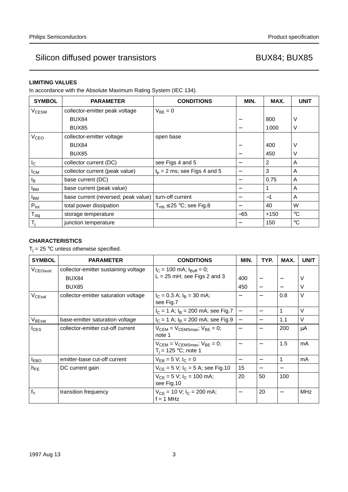### **LIMITING VALUES**

In accordance with the Absolute Maximum Rating System (IEC 134).

| <b>SYMBOL</b>             | <b>PARAMETER</b>                    | <b>CONDITIONS</b>              | MIN.  | MAX. | <b>UNIT</b>     |
|---------------------------|-------------------------------------|--------------------------------|-------|------|-----------------|
| V <sub>CESM</sub>         | collector-emitter peak voltage      | $V_{BF} = 0$                   |       |      |                 |
|                           | BUX84                               |                                |       | 800  | ν               |
|                           | BUX85                               |                                |       | 1000 | V               |
| <b>V<sub>CEO</sub></b>    | collector-emitter voltage           | open base                      |       |      |                 |
|                           | BUX84                               |                                |       | 400  | ν               |
|                           | BUX85                               |                                |       | 450  | V               |
| I <sub>C</sub>            | collector current (DC)              | see Figs 4 and 5               |       | 2    | A               |
| $I_{CM}$                  | collector current (peak value)      | $t_0$ = 2 ms; see Figs 4 and 5 | —     | 3    | A               |
| l <sub>B</sub>            | base current (DC)                   |                                |       | 0.75 | A               |
| <b>I</b> BM               | base current (peak value)           |                                |       |      | A               |
| <b>I</b> BM               | base current (reversed; peak value) | turn-off current               |       | $-1$ | A               |
| $P_{\text{tot}}$          | total power dissipation             | $T_{mb} \leq 25$ °C; see Fig.8 |       | 40   | W               |
| $\mathsf{T}_{\text{stg}}$ | storage temperature                 |                                | $-65$ | +150 | $^{\circ}C$     |
| $T_i$                     | junction temperature                |                                |       | 150  | $\rm ^{\circ}C$ |

### **CHARACTERISTICS**

 $T_j = 25$  °C unless otherwise specified.

| <b>SYMBOL</b>        | <b>PARAMETER</b>                     | <b>CONDITIONS</b>                                                    | MIN.                     | TYP. | MAX. | <b>UNIT</b> |
|----------------------|--------------------------------------|----------------------------------------------------------------------|--------------------------|------|------|-------------|
| V <sub>CEOsust</sub> | collector-emitter sustaining voltage | $I_C = 100$ mA; $I_{Boff} = 0$ ;                                     |                          |      |      |             |
|                      | BUX84                                | $L = 25$ mH; see Figs 2 and 3                                        | 400                      |      |      | V           |
|                      | BUX85                                |                                                                      | 450                      |      |      | V           |
| V <sub>CEsat</sub>   | collector-emitter saturation voltage | $I_C = 0.3$ A; $I_B = 30$ mA;<br>see Fig.7                           |                          |      | 0.8  | V           |
|                      |                                      | $I_C = 1$ A; $I_B = 200$ mA; see Fig.7                               | $\overline{\phantom{0}}$ | —    | 1    | $\vee$      |
| V <sub>BEsat</sub>   | base-emitter saturation voltage      | $I_C = 1$ A; $I_B = 200$ mA; see Fig.9                               | $\qquad \qquad -$        |      | 1.1  | V           |
| $I_{CES}$            | collector-emitter cut-off current    | $V_{CEM} = V_{CEMSmax}$ ; $V_{BE} = 0$ ;<br>note 1                   |                          |      | 200  | μA          |
|                      |                                      | $V_{CEM}$ = $V_{CEMSmax}$ ; $V_{BE}$ = 0;<br>$T_i = 125 °C$ ; note 1 |                          |      | 1.5  | mA          |
| <b>IEBO</b>          | emitter-base cut-off current         | $V_{EB} = 5 V$ ; $I_C = 0$                                           | —                        |      | 1    | mA          |
| $h_{FE}$             | DC current gain                      | $V_{CE} = 5 V$ ; $I_C = 5 A$ ; see Fig.10                            | 15                       |      |      |             |
|                      |                                      | $V_{CF} = 5 V$ ; $I_C = 100$ mA;<br>see Fig.10                       | 20                       | 50   | 100  |             |
| $f_T$                | transition frequency                 | $V_{CE}$ = 10 V; $I_C$ = 200 mA;<br>$f = 1$ MHz                      |                          | 20   |      | <b>MHz</b>  |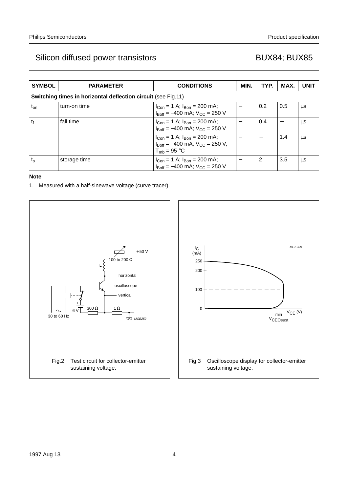| <b>SYMBOL</b> | <b>PARAMETER</b>                                              | <b>CONDITIONS</b>                                                                                                                          | MIN. | TYP. | MAX. | <b>UNIT</b> |
|---------------|---------------------------------------------------------------|--------------------------------------------------------------------------------------------------------------------------------------------|------|------|------|-------------|
|               | Switching times in horizontal deflection circuit (see Fig.11) |                                                                                                                                            |      |      |      |             |
| $t_{on}$      | turn-on time                                                  | $I_{Con}$ = 1 A; $I_{Bon}$ = 200 mA;<br>$I_{\text{Boff}} = -400 \text{ mA}$ ; $V_{\text{CC}} = 250 \text{ V}$                              |      | 0.2  | 0.5  | μs          |
| tf            | fall time                                                     | $I_{Con}$ = 1 A; $I_{Bon}$ = 200 mA;<br>$I_{\text{Roff}} = -400 \text{ mA}$ ; $V_{\text{CC}} = 250 \text{ V}$                              |      | 0.4  |      | μs          |
|               |                                                               | $I_{Con}$ = 1 A; $I_{Bon}$ = 200 mA;<br>$I_{\text{Roff}} = -400 \text{ mA}$ ; $V_{\text{CC}} = 250 \text{ V}$ ;<br>$T_{\text{mb}}$ = 95 °C |      |      | 1.4  | μs          |
| $t_{\rm s}$   | storage time                                                  | $I_{Con} = 1$ A; $I_{Bon} = 200$ mA;<br>$I_{\text{Boff}} = -400 \text{ mA}$ ; $V_{\text{CC}} = 250 \text{ V}$                              |      | 2    | 3.5  | μs          |

### **Note**

1. Measured with a half-sinewave voltage (curve tracer).



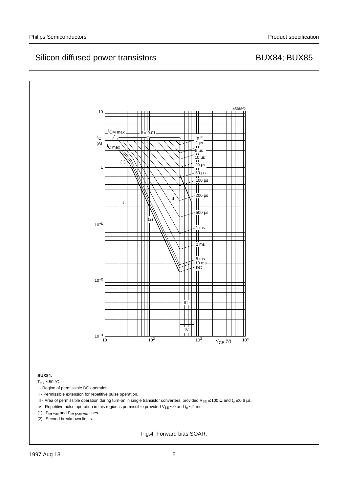

Fig.4 Forward bias SOAR.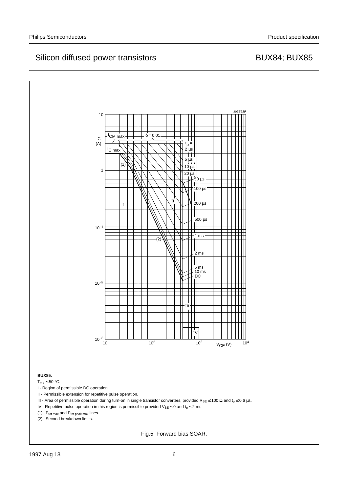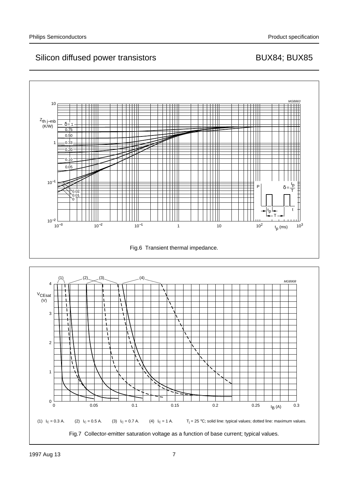

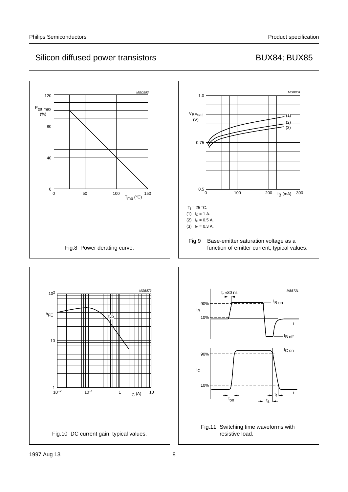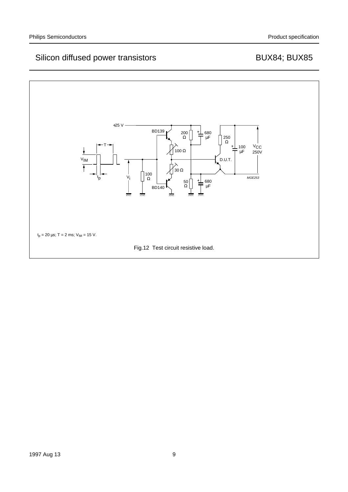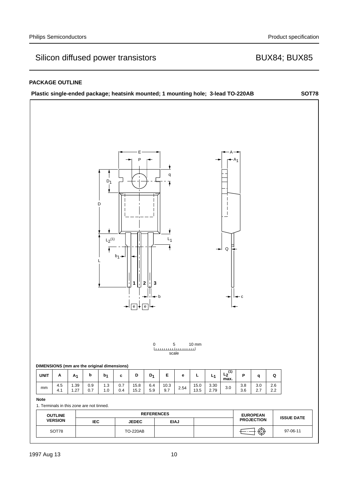## **PACKAGE OUTLINE**

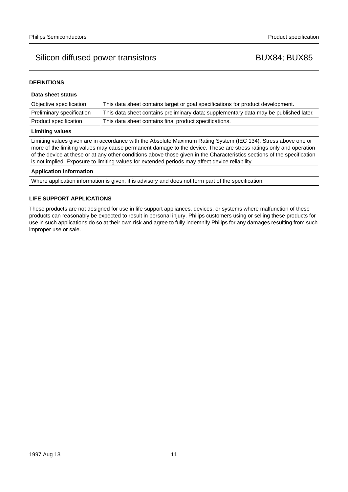### **DEFINITIONS**

| Data sheet status                                                                                                                                                                                                                                                                                                                                                                                                                                                  |                                                                                       |  |  |  |
|--------------------------------------------------------------------------------------------------------------------------------------------------------------------------------------------------------------------------------------------------------------------------------------------------------------------------------------------------------------------------------------------------------------------------------------------------------------------|---------------------------------------------------------------------------------------|--|--|--|
| This data sheet contains target or goal specifications for product development.<br>Objective specification                                                                                                                                                                                                                                                                                                                                                         |                                                                                       |  |  |  |
| Preliminary specification                                                                                                                                                                                                                                                                                                                                                                                                                                          | This data sheet contains preliminary data; supplementary data may be published later. |  |  |  |
| This data sheet contains final product specifications.<br>Product specification                                                                                                                                                                                                                                                                                                                                                                                    |                                                                                       |  |  |  |
| <b>Limiting values</b>                                                                                                                                                                                                                                                                                                                                                                                                                                             |                                                                                       |  |  |  |
| Limiting values given are in accordance with the Absolute Maximum Rating System (IEC 134). Stress above one or<br>more of the limiting values may cause permanent damage to the device. These are stress ratings only and operation<br>of the device at these or at any other conditions above those given in the Characteristics sections of the specification<br>is not implied. Exposure to limiting values for extended periods may affect device reliability. |                                                                                       |  |  |  |
| <b>Application information</b>                                                                                                                                                                                                                                                                                                                                                                                                                                     |                                                                                       |  |  |  |
| Where application information is given, it is advisory and does not form part of the specification.                                                                                                                                                                                                                                                                                                                                                                |                                                                                       |  |  |  |

### **LIFE SUPPORT APPLICATIONS**

These products are not designed for use in life support appliances, devices, or systems where malfunction of these products can reasonably be expected to result in personal injury. Philips customers using or selling these products for use in such applications do so at their own risk and agree to fully indemnify Philips for any damages resulting from such improper use or sale.